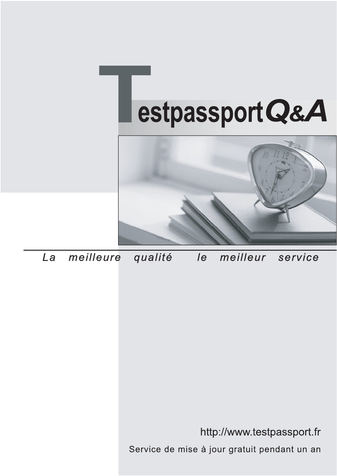



meilleure La qualité  $\overline{e}$ meilleur service

http://www.testpassport.fr

Service de mise à jour gratuit pendant un an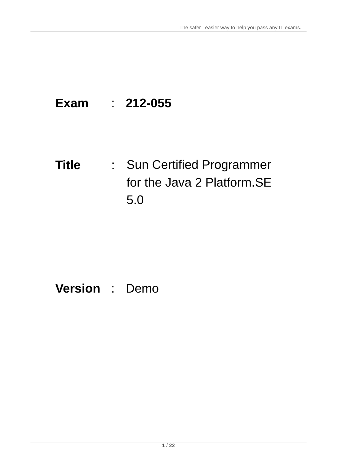# **Exam** : **212-055**

**Title** : Sun Certified Programmer for the Java 2 Platform.SE 5.0

# **Version** : Demo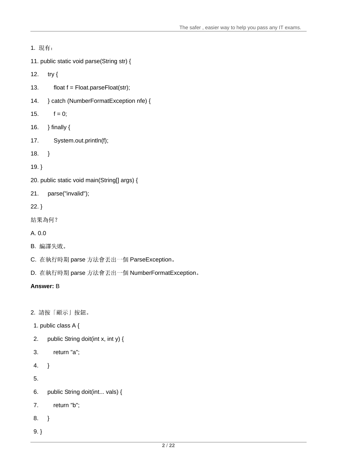1. 11. public static void parse(String str) { 12. try { $\overline{a}$ 13.  $f$  float  $f$  = Float.parseFloat(str); 14. } catch (NumberFormatException nfe) {  $15.$  f = 0; 16.  $\,$ } finally { $\,$ 17. System.out.println(f); 18.  $\}$ 19. } 20. public static void main(String[] args) { 21. parse("invalid"); 22. } 結果為何? A. 0.0 B. 編譯失敗。 ファイル・エスト しょうしょう しょうしょう しょうしょう しょうしゅう しょうしゅう しょうしゅう しょうしゅう C. 在執行時期 parse 方法會丟出一個 ParseException。

D. 在執行時期 parse 方法會丟出一個 NumberFormatException。

# **Answer:** B

2. 請按「顯示」按鈕。

- 1. public class A {
- 2. public String doit(int x, int y) {
- 3. return "a";
- 4. }
- $5.$
- 6. public String doit(int... vals) {
- 7. return "b";
- 8. }
- 9. }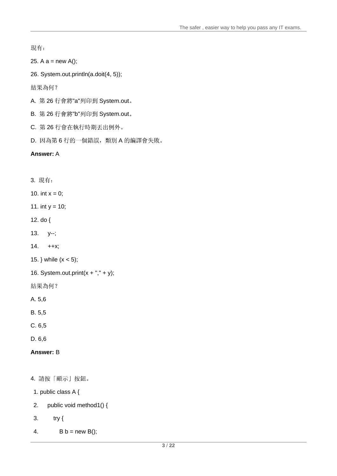現有:

25. A  $a = new A$ ;

26. System.out.println(a.doit(4, 5));

結果為何?

- A. 第26行會將"a"列印到 System.out。
- B. 第26行會將"b"列印到 System.out。
- C. 第26行會在執行時期丟出例外。
- D. 因為第6行的一個錯誤,類別A的編譯會失敗。

## **Answer:** A

3.

10. int  $x = 0$ ;

11. int  $y = 10$ ;

- 12. do {
- 13. y--;
- 14. ++x;
- 15. } while  $(x < 5)$ ;
- 16. System.out.print $(x + ", " + y);$
- 結果為何?
- A. 5,6
- B. 5,5
- C. 6,5
- D. 6,6

## **Answer:** B

4. 請按「顯示」按鈕。

- 1. public class A {
- 2. public void method1() {
- $3.$  try {
- $4.$  B b = new B();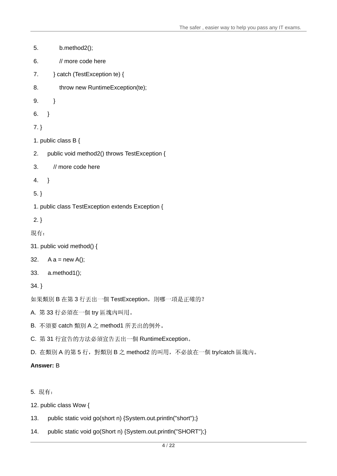```
5. b.method2();
6. I/ more code here lack the contract of the contract of the contract of the contract of the contract of the contract of the contract of the contract of the contract of the contract of the contract of the contract of 
7. } catch (TestException te) {
8. throw new RuntimeException(te);
9. \qquad }
6. }
7. }
1. public class B {
2. public void method2() throws TestException {
3. // more code here
4. }
5. }
1. public class TestException extends Exception {
2. }
現有:
31. public void method() {
32. A a = new A(); \overline{a}33. a.method1();
34. }
如果類別 B 在第3行丟出一個 TestException, 則哪一項是正確的?
A. 第33行必須在一個 try 區塊內叫用。
B. 不須要 catch 類別 A 之 method1 所丟出的例外。
C. 第31 行宣告的方法必須宣告丢出一個 RuntimeException。
D. 在類別 A 的第5行, 對類別 B 之 method2 的叫用, 不必放在一個 try/catch 區塊內。
```
#### **Answer:** B

5.

12. public class Wow {

- 13. public static void go(short n) {System.out.println("short");}
- 14. public static void go(Short n) {System.out.println("SHORT");}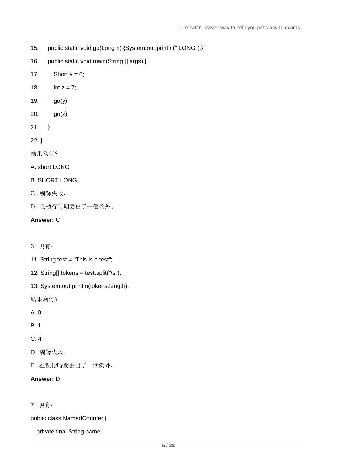- 15. public static void go(Long n) {System.out.println(" LONG");}
- 16. public static void main(String [] args) {
- 17. Short  $y = 6$ ;
- 18. int  $z = 7$ ;
- 19. go(y);
- 20. go(z);
- 21.  $\}$
- 22. }

結果為何?

A. short LONG

# B. SHORT LONG

- C. 編譯失敗。
- D. 在執行時期丟出了一個例外。

# **Answer:** C

- 6.
- 11. String test = "This is a test";
- 12. String[] tokens = test.split("\s");
- 13. System.out.println(tokens.length);
- 結果為何?
- A. 0
- B. 1 and 2 and 2 and 2 and 2 and 2 and 2 and 2 and 2 and 2 and 2 and 2 and 2 and 2 and 2 and 2 and 2 and 2 and 2 and 2 and 2 and 2 and 2 and 2 and 2 and 2 and 2 and 2 and 2 and 2 and 2 and 2 and 2 and 2 and 2 and 2 and 2 a
- C. 4
- D. 編譯失敗。 ファイル・ファイル しょうしょう しょうしょう しょうしょう しょうしょう しょうしゅう しょうしゅう しょうしゅう しょうしゅう
- E. 在執行時期丟出了一個例外。

# **Answer:** D

# 7.

public class NamedCounter {

private final String name;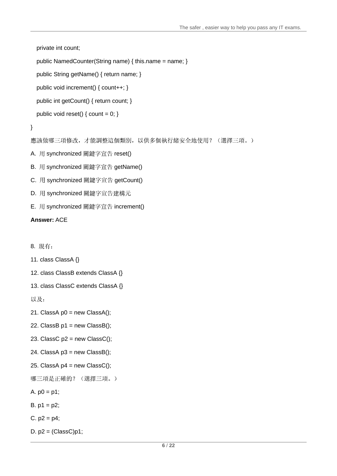private int count;

```
public NamedCounter(String name) { this.name = name; }
```

```
public String getName() { return name; }
```
public void increment() { count++; }

public int getCount() { return count; }

```
public void reset() { count = 0; }
```

```
}
```
應該做哪三項修改,才能調整這個類別,以供多個執行緒安全地使用? (選擇三項。)

- A. 用 synchronized 關鍵字宣告 reset()
- B. 用 synchronized 關鍵字宣告 getName()
- C. 用 synchronized 關鍵字宣告 getCount()
- D. 用 synchronized 關鍵字宣告建構元
- E. 用 synchronized 關鍵字宣告 increment()

## **Answer:** ACE

8.

```
11. class ClassA {}
```

```
12. class ClassB extends ClassA {}
```

```
13. class ClassC extends ClassA {}
```
以及:

```
21. ClassA p0 = new ClassA();
```
- 22. ClassB  $p1$  = new ClassB();
- 23. ClassC  $p2$  = new ClassC();
- 24. ClassA  $p3$  = new ClassB();
- 25. ClassA  $p4$  = new ClassC();

```
哪三項是正確的? (選擇三項。)
```
A.  $p0 = p1$ ;

 $B. p1 = p2$ ;

- $C. p2 = p4$ ;
- D.  $p2 = (ClassC)p1;$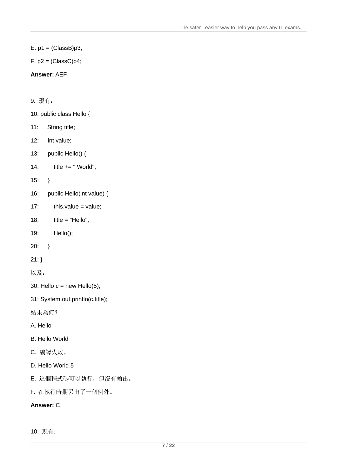$E. p1 = (Class B)p3;$ 

 $F. p2 = (ClassC)p4;$ 

## **Answer:** AEF

9.

- 10: public class Hello {
- 11: String title;
- 12: int value;
- 13: public Hello() {
- 14: title += " World";

15:  $\}$ 

- 16: public Hello(int value) {
- 17: this.value = value;
- 18: title = "Hello";
- 19: Hello();
- $20:$  }
- 21: }
- 以及:

30: Hello  $c = new Hello(5)$ ;

31: System.out.println(c.title);

結果為何?

```
A. Hello
```
- B. Hello World
- ${\mathsf C}.$  編譯失敗 。 そうしょう しょうしょう しょうしょく しんしょう しんしょう しんしょう しんしゅう しんしゅう しんしゅう しんしゅう しんしゅう
- D. Hello World 5
- E. 這個程式碼可以執行, 但沒有輸出。
- F. 在執行時期丟出了一個例外。

## **Answer:** C

10. 現有: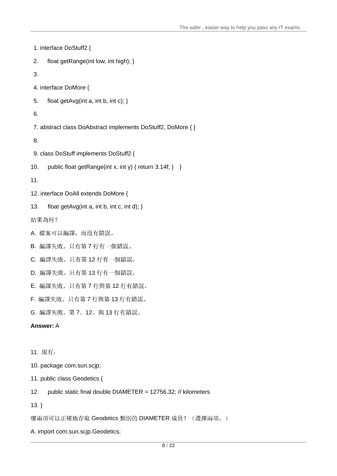1. interface DoStuff2 { 2. float getRange(int low, int high); }  $3.$ 4. interface DoMore { 5. float getAvg(int a, int b, int c); }  $6.$ 7. abstract class DoAbstract implements DoStuff2, DoMore { } 8. 9. class DoStuff implements DoStuff2 { 10. public float getRange(int x, int y) { return  $3.14f$ ; } } 11. 12. interface DoAll extends DoMore { 13. float getAvg(int a, int b, int c, int d); } 結果為何? A. 檔案可以編譯, 而沒有錯誤。 B. 編譯失敗。只有第7行有一個錯誤。 C. 編譯失敗。只有第12行有一個錯誤。 D. 編譯失敗。只有第13行有一個錯誤。 E. 編譯失敗。只有第7行與第12行有錯誤。 F. 編譯失敗。只有第7行與第13行有錯誤。 G. 編譯失敗。第7、12、與 13 行有錯誤。 **Answer:** A 11.

10. package com.sun.scjp;

11. public class Geodetics {

12. public static final double DIAMETER = 12756.32; // kilometers

13. }

哪兩項可以正確地存取 Geodetics 類別的 DIAMETER 成員? (選擇兩項。)

A. import com.sun.scjp.Geodetics;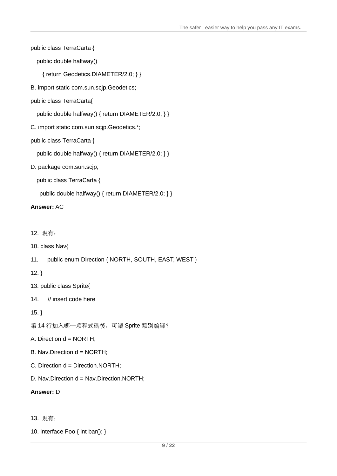public class TerraCarta {

public double halfway()

{ return Geodetics.DIAMETER/2.0; } }

B. import static com.sun.scjp.Geodetics;

### public class TerraCarta{

public double halfway() { return DIAMETER/2.0; } }

C. import static com.sun.scjp.Geodetics.\*;

## public class TerraCarta {

public double halfway() { return DIAMETER/2.0; } }

D. package com.sun.scjp;

public class TerraCarta {

public double halfway() { return DIAMETER/2.0; } }

#### **Answer:** AC

12.

- 10. class Nav{
- 11. public enum Direction { NORTH, SOUTH, EAST, WEST }

12. }

- 13. public class Sprite{
- 14. // insert code here

15. }

- 第14行加入哪一項程式碼後,可讓 Sprite 類別編譯?
- A. Direction d = NORTH;
- B. Nav.Direction d = NORTH;
- C. Direction d = Direction.NORTH;
- D. Nav.Direction d = Nav.Direction.NORTH;

#### **Answer:** D

- 13.
- 10. interface Foo { int bar(); }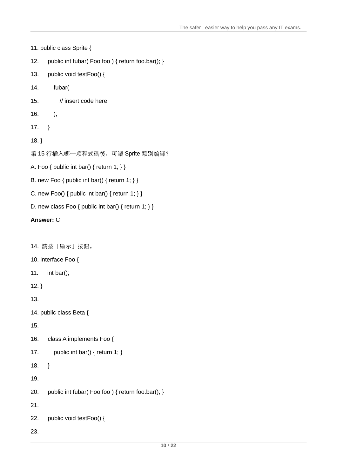```
11. public class Sprite {
12. public int fubar( Foo foo ) { return foo.bar(); }
13. public void testFoo() {
14. fubar(
15. If a linear vector of the term of the state of the state of the state of the state of the state of the state of the state of the state of the state of the state of the state of the state of the state of the state of th
16. );
17. }
18. }
第15 行插入哪一項程式碼後,可讓 Sprite 類別編譯?
A. Foo \{ public int bar() \{ return 1; \}B. new Foo \{ public int bar() \{ return 1; \}C. new Foo() { public int bar() { return 1; } }
```
D. new class Foo  $\{$  public int bar()  $\{$  return 1;  $\}$   $\}$ 

## **Answer:** C

14. 請按「顯示」按鈕。

- 10. interface Foo {
- 11. int bar();
- 12. }

13.

```
14. public class Beta {
```
15.

16. class A implements Foo {

```
17. public int bar() { return 1; }
```
18.  $\}$ 

19.

20. public int fubar( Foo foo ) { return foo.bar(); }

21.

```
22. public void testFoo() {
```
23.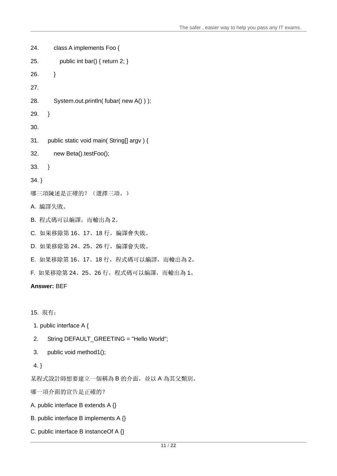```
24. class A implements Foo {
25. bublic int bar() { return 2; }
26. }
27.
28. System.out.println( fubar( new A() ) );
29.}
30. 31. public static void main( String[] argv ) {
32. new Beta().testFoo();
33.}
34. }
哪三項陳述是正確的? (選擇三項。)
A. 編譯失敗。
B. 程式碼可以編譯, 而輸出為 2。
C. 如果移除第 16、17、18 行, 編譯會失敗。
D. 如果移除第 24、25、26 行, 編譯會失敗。
E. 如果移除第 16、17、18 行, 程式碼可以編譯, 而輸出為 2。
F. 如果移除第 24、25、26 行, 程式碼可以編譯, 而輸出為 1。
Answer: BEF
```
15.

1. public interface A {

- 2. String DEFAULT\_GREETING = "Hello World";
- 3. public void method1();
- 4. }

B 的介面,並以 A 為其父類別。 しんしょう しんしゅうしゅう しんしゅうしゅう かんしゅう

哪一項介面的宣告是正確的?

A. public interface B extends A {}

- B. public interface B implements A {}
- C. public interface B instanceOf A {}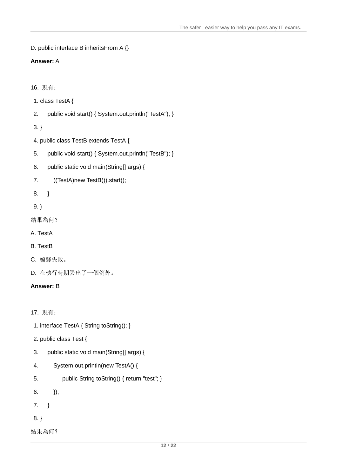```
D. public interface B inheritsFrom A {}
```
# **Answer:** A

16.

- 1. class TestA {
- 2. public void start() { System.out.println("TestA"); }

 $3.$  }

- 4. public class TestB extends TestA {
- 5. public void start() { System.out.println("TestB"); }
- 6. public static void main(String[] args) {
- 7. ((TestA)new TestB()).start();
- 8. }

```
9. }
```

```
結果為何?
```

```
A. TestA
```
B. TestB

- C. 编譯失敗。
- D. 在執行時期丟出了一個例外。

# **Answer:** B

17.

- 1. interface TestA { String toString(); }
- 2. public class Test {
- 3. public static void main(String[] args) {
- 4. System.out.println(new TestA() {
- 5. public String toString() { return "test"; }
- 6.  ${})$ ;
- 7. }
- 8. }

結果為何?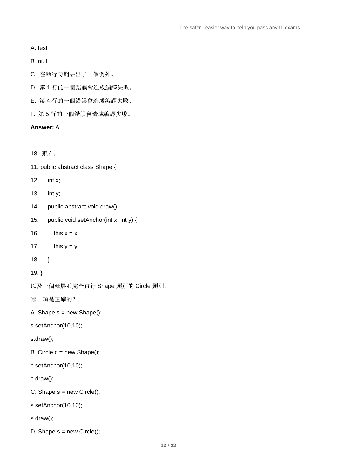#### A. test

#### B. null and the contract of the contract of the contract of the contract of the contract of the contract of the contract of the contract of the contract of the contract of the contract of the contract of the contract of th

- C. 在執行時期丟出了一個例外。
- D. 第1行的一個錯誤會造成編譯失敗。
- E. 第4行的一個錯誤會造成編譯失敗。
- F. 第5行的一個錯誤會造成編譯失敗。

## **Answer:** A

```
18.
```
- 11. public abstract class Shape {
- 12. int x;
- 13. int y;
- 14. public abstract void draw();
- 15. public void setAnchor(int x, int y) {
- 16. this. $x = x$ ;
- 17. this.y = y;
- $18.$  }
- 19. }

Shape Circle

哪一項是正確的?

A. Shape  $s = new Shape()$ ;

s.setAnchor(10,10);

s.draw();

- B. Circle  $c = new Shape()$ ;
- c.setAnchor(10,10);

c.draw();

```
C. Shape s = new Circle();
```
s.setAnchor(10,10);

s.draw();

D. Shape  $s = new Circle()$ ;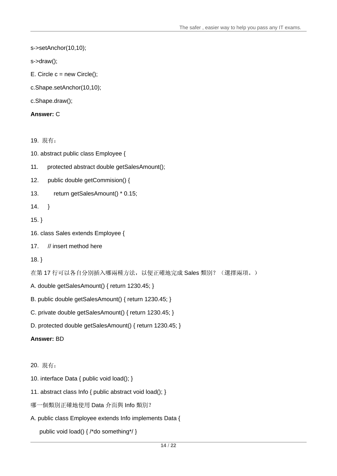s->setAnchor(10,10);

```
s->draw();
```
- E. Circle  $c = new Circle()$ ;
- c.Shape.setAnchor(10,10);
- c.Shape.draw();

**Answer:** C

19.

10. abstract public class Employee {

11. protected abstract double getSalesAmount();

12. public double getCommision() {

- 13. return getSalesAmount() \* 0.15;
- 14. }
- 15. }
- 16. class Sales extends Employee {
- 17. // insert method here **that is a set of the set of the set of the set of the set of the set of the set of the set of the set of the set of the set of the set of the set of the set of the set of the set of the set of th**

 $18.$  }

在第17 行可以各自分別插入哪兩種方法,以便正確地完成 Sales 類別? (選擇兩項。)

- A. double getSalesAmount() { return 1230.45; }
- B. public double getSalesAmount() { return 1230.45; }
- C. private double getSalesAmount() { return 1230.45; }
- D. protected double getSalesAmount() { return 1230.45; }

#### **Answer:** BD

- 20.
- 10. interface Data { public void load(); }
- 11. abstract class Info { public abstract void load(); }
- Data Info
- A. public class Employee extends Info implements Data {

public void load() { /\*do something\*/ }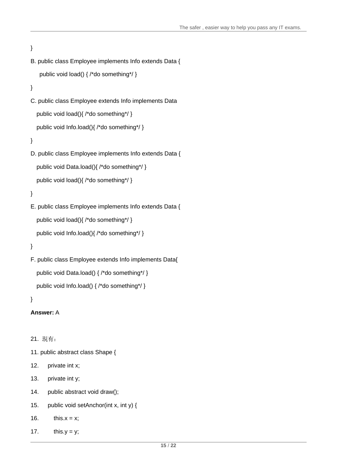```
}
B. public class Employee implements Info extends Data {
 public void load() { /*do something*/ } 
}
C. public class Employee extends Info implements Data
public void load(){ /*do something*/ } 
public void Info.load(){ /*do something*/ } 
}
D. public class Employee implements Info extends Data {
public void Data.load(){ /*do something*/ }
public void load(){ /*do something*/ } 
}
E. public class Employee implements Info extends Data {
```

```
public void Info.load(){ /*do something*/ }
```
public void load(){ /\*do something\*/ }

```
}
```

```
F. public class Employee extends Info implements Data{
  public void Data.load() { /*do something*/ }
  public void Info.load() { /*do something*/ }
```
}

```
Answer: A
```

```
21.
```

```
11. public abstract class Shape {
```

```
12. private int x;
```
- 13. private int y;
- 14. public abstract void draw();
- 15. public void setAnchor(int x, int y) {

```
16. this.x = x;
```
17. this.y = y;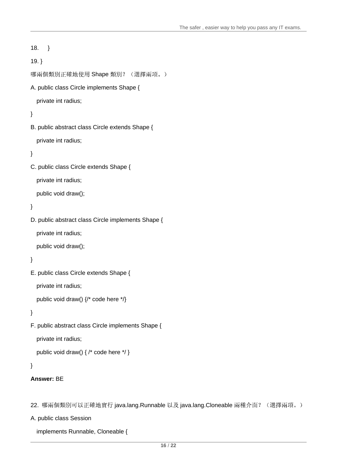```
18. }
19. }
哪兩個類別正確地使用 Shape 類別? (選擇兩項。)
A. public class Circle implements Shape {
private int radius;
}
B. public abstract class Circle extends Shape {
private int radius;
}
C. public class Circle extends Shape {
private int radius;
public void draw();
}
D. public abstract class Circle implements Shape {
private int radius;
public void draw();
}
E. public class Circle extends Shape {
private int radius;
public void draw() {/* code here */}
}
F. public abstract class Circle implements Shape {
private int radius;
public void draw() { /* code here */ }
```

```
}
```

```
Answer: BE
```
22. 哪兩個類別可以正確地實行 java.lang.Runnable 以及 java.lang.Cloneable 兩種介面? (選擇兩項。)

A. public class Session

implements Runnable, Cloneable {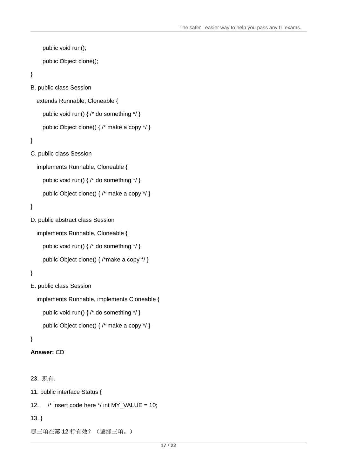```
public void run();
  public Object clone();
}
B. public class Session 
 extends Runnable, Cloneable {
  public void run() { /* do something */ }
  public Object clone() { /* make a copy */ }
}
C. public class Session 
 implements Runnable, Cloneable {
  public void run() { /* do something */ }
  public Object clone() { /* make a copy */ }
}
D. public abstract class Session 
 implements Runnable, Cloneable {
  public void run() { /* do something */ }
  public Object clone() { /*make a copy */ }
```

```
}
```

```
E. public class Session
```

```
implements Runnable, implements Cloneable {
  public void run() { /* do something */ }
  public Object clone() { /* make a copy */ }
```
#### }

```
Answer: CD
```

```
23.
```
11. public interface Status {

```
12. /* insert code here */ int MY_VALUE = 10;
```

```
13. }
```

```
哪三項在第12行有效? (選擇三項。)
```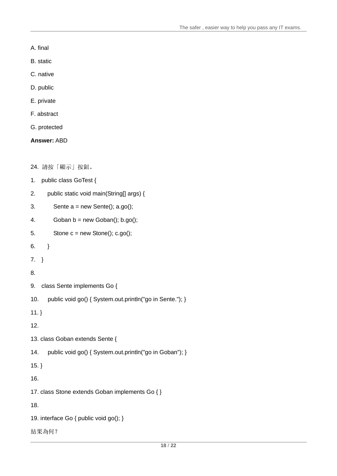- A. final
- B. static contract of the contract of the contract of the contract of the contract of the contract of the contract of the contract of the contract of the contract of the contract of the contract of the contract of the cont
- C. native
- D. public
- E. private
- F. abstract
- G. protected

**Answer:** ABD

24. 請按「顯示」按鈕。

- 1. public class GoTest {
- 2. public static void main(String[] args) {
- 3. Sente  $a = new$  Sente();  $a.gov$ );
- 4. Goban b = new Goban(); b.go();
- 5. Stone c = new Stone(); c.go();
- 6. }
- 7. }
- 8.
- 9. class Sente implements Go {
- 10. public void go() { System.out.println("go in Sente."); }
- 11. }
- 12.
- 13. class Goban extends Sente {
- 14. public void go() { System.out.println("go in Goban"); }
- 15. }
- 16.
- 17. class Stone extends Goban implements Go { }

18.

- 19. interface Go { public void go(); }
- 結果為何?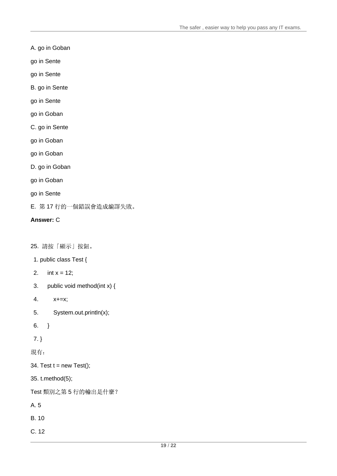## A. go in Goban

- go in Sente
- go in Sente
- B. go in Sente
- go in Sente
- go in Goban
- C. go in Sente
- go in Goban
- go in Goban
- D. go in Goban
- go in Goban
- go in Sente
- E. 第17行的一個錯誤會造成編譯失敗。

## **Answer:** C

## 25. 請按「顯示」按鈕。

- 1. public class Test {
- 2.  $int x = 12$ ;
- 3. public void method(int x) {
- 4. x+=x;
- 5. System.out.println(x);
- 6. }
- 7. }

現有:

## 34. Test  $t = new Test$ );

35. t.method(5);

Test 類別之第5行的輸出是什麼?

- A. 5
- B. 10 and the contract of the contract of the contract of the contract of the contract of the contract of the contract of the contract of the contract of the contract of the contract of the contract of the contract of the
- C. 12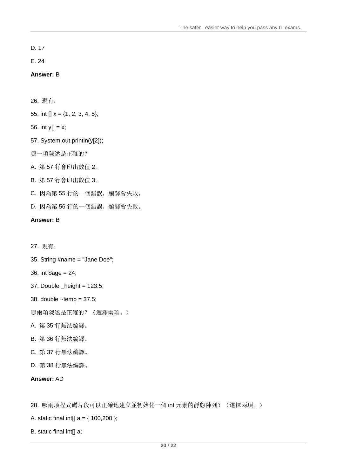D. 17 and 200 and 200 and 200 and 200 and 200 and 200 and 200 and 200 and 200 and 200 and 200 and 200 and 200

E. 24

**Answer:** B

26.

55. int []  $x = \{1, 2, 3, 4, 5\};$ 

56. int y[]  $= x;$ 

57. System.out.println(y[2]);

哪一項陳述是正確的?

A. 57 2

B. 57 3

C. 因為第55行的一個錯誤, 編譯會失敗。

D. 因為第56行的一個錯誤, 編譯會失敗。

**Answer:** B

27.

35. String #name = "Jane Doe";

36. int \$age = 24;

37. Double \_height = 123.5;

38. double ~temp = 37.5;

哪兩項陳述是正確的? (選擇兩項。)

A. 第 35 行無法編譯。 いっちょう しゅうしょう しゅうしゅう しゅうしゅう しゅうしゅう しゅうしゅう しゅうしゅう しゅうしゅう しゅうしゅう

B. 36

C. 37

D. 38

**Answer:** AD

28. 哪兩項程式碼片段可以正確地建立並初始化一個 int 元素的靜態陣列? (選擇兩項。)

A. static final int[]  $a = \{ 100,200 \};$ 

B. static final int[] a;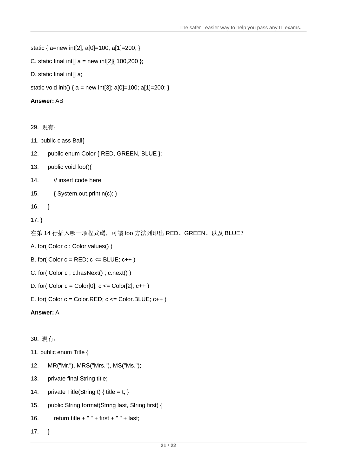```
static { a=new int[2]; a[0]=100; a[1]=200; }
```

```
C. static final int[] a = new int[2] { 100,200 };
```

```
D. static final int[] a;
```
static void init() {  $a = new int[3]$ ;  $a[0] = 100$ ;  $a[1] = 200$ ; }

### **Answer:** AB

29.

- 11. public class Ball{
- 12. public enum Color { RED, GREEN, BLUE };
- 13. public void foo(){
- 14. // insert code here
- 15. { System.out.println(c); }
- 16.  $\}$

```
17. }
```

```
在第14 行插入哪一項程式碼,可讓 foo 方法列印出 RED、GREEN、以及 BLUE?
```
- A. for( Color c : Color.values() )
- B. for( Color  $c = RED$ ;  $c \leq BLUE$ ;  $c++$ )
- C. for( Color c ; c.hasNext() ; c.next() )
- D. for( Color  $c = Color[0]$ ;  $c \leq Color[2]$ ;  $c++$ )
- E. for( $Color c = Color.RED$ ;  $c \leq Color.BLUE$ ;  $c++$ )

## **Answer:** A

## 30.

- 11. public enum Title {
- 12. MR("Mr."), MRS("Mrs."), MS("Ms.");
- 13. private final String title;
- 14. private Title(String t) { title = t; }
- 15. public String format(String last, String first) {
- 16. return title  $+$  "  $+$  first  $+$  "  $+$  last;
- 17. }